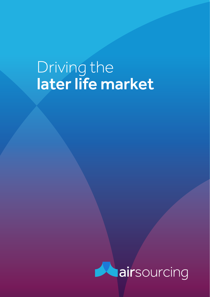# Driving the later life market

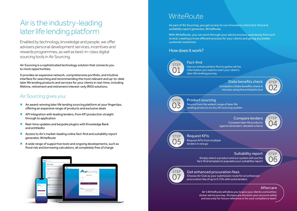## Air is the industry-leading later life lending platform

Enabled by technology, knowledge and people, we offer advisers personal development services, incentives and rewards programmes, as well as best-in-class digital sourcing tools in Air Sourcing.

Air Sourcing is a sophisticated technology solution that connects you to more opportunities.

It provides an expansive network, comprehensive portfolio, and intuitive interface for searching and recommending the most relevant and up-to-date later life lending products and services for your clients in real-time, including lifetime, retirement and retirement interest-only (RIO) solutions.

### Air Sourcing gives you:

- **•** An award-winning later life lending sourcing platform at your fingertips, offering an expansive range of products and exclusive deals
- **•** API integration with leading lenders, from KFI production straight through to application
- Real-time updates and bespoke plugins with Knowledge Bank and entitledto
- **•** Access to Air's market-leading online fact-find and suitability report generator, WriteRoute
- $\bullet$  A wide range of supportive tools and ongoing developments, such as flood risk and borrowing calculators, all completely free of charge



### **WriteRoute**

As part of Air Sourcing, you get access to our innovative online fact-find and suitability report generator, WriteRoute.

With WriteRoute, you can work through your advice process seamlessly from end to end, creating a more efficient process for your clients and giving you better customer outcomes.

#### How does it work?



Fact-find

Use our enhanced fact-find to gather all the information you need to start your client's later life lending journey

#### State benefits check STEP

Complete a State benefits check in minutes using the entitledto tool



Source from the widest range of later life Product sourcing

lending products on any UK sourcing system

Compare later life products against all lenders' detailed criteria Compare lenders



Request KFIs

#### Request KFIs from multiple lenders in one go

#### Suitability report STEP

Simply select a product and our system will use the fact-find template to populate your suitability report



Choose Air Club as your submission route for an enhanced Get enhanced procuration fees

procuration fee of up to 0.75% with some lenders

#### Aftercare

06

02

**STEF** 04

Air's WriteRoute will allow you to give your clients a smoother, slicker advice journey. All steps are stored in your account safely and securely for future reference or for your compliance team.